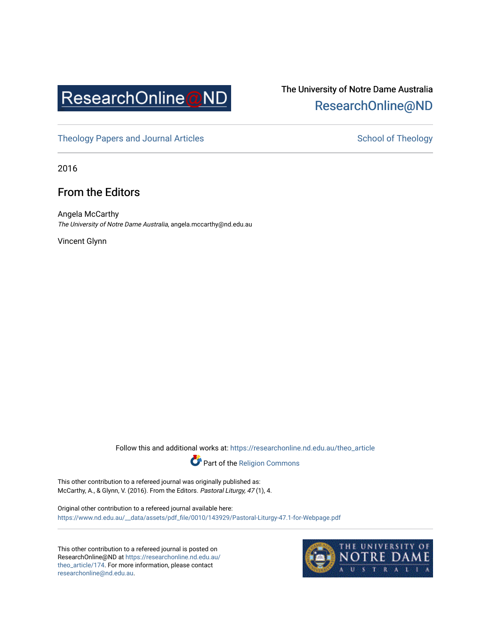

## The University of Notre Dame Australia [ResearchOnline@ND](https://researchonline.nd.edu.au/)

[Theology Papers and Journal Articles](https://researchonline.nd.edu.au/theo_article) and [School of Theology](https://researchonline.nd.edu.au/theo) School of Theology

2016

## From the Editors

Angela McCarthy The University of Notre Dame Australia, angela.mccarthy@nd.edu.au

Vincent Glynn

Follow this and additional works at: [https://researchonline.nd.edu.au/theo\\_article](https://researchonline.nd.edu.au/theo_article?utm_source=researchonline.nd.edu.au%2Ftheo_article%2F174&utm_medium=PDF&utm_campaign=PDFCoverPages) 



This other contribution to a refereed journal was originally published as: McCarthy, A., & Glynn, V. (2016). From the Editors. Pastoral Liturgy, 47 (1), 4.

Original other contribution to a refereed journal available here: [https://www.nd.edu.au/\\_\\_data/assets/pdf\\_file/0010/143929/Pastoral-Liturgy-47.1-for-Webpage.pdf](https://www.nd.edu.au/__data/assets/pdf_file/0010/143929/Pastoral-Liturgy-47.1-for-Webpage.pdf)

This other contribution to a refereed journal is posted on ResearchOnline@ND at [https://researchonline.nd.edu.au/](https://researchonline.nd.edu.au/theo_article/174) [theo\\_article/174](https://researchonline.nd.edu.au/theo_article/174). For more information, please contact [researchonline@nd.edu.au.](mailto:researchonline@nd.edu.au)

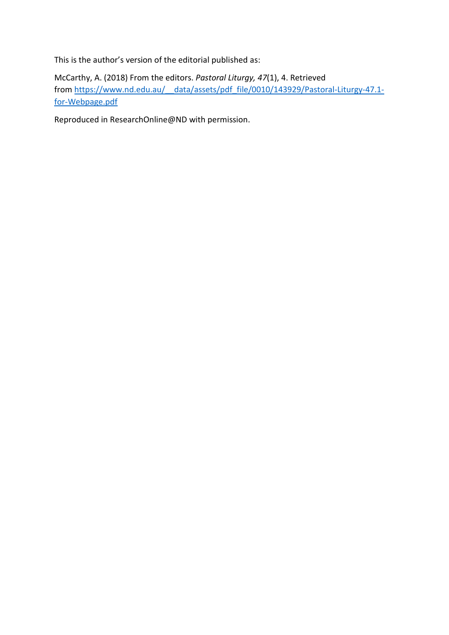This is the author's version of the editorial published as:

McCarthy, A. (2018) From the editors. *Pastoral Liturgy, 47*(1), 4. Retrieved from https://www.nd.edu.au/ data/assets/pdf file/0010/143929/Pastoral-Liturgy-47.1[for-Webpage.pdf](https://www.nd.edu.au/__data/assets/pdf_file/0010/143929/Pastoral-Liturgy-47.1-for-Webpage.pdf) 

Reproduced in ResearchOnline@ND with permission.